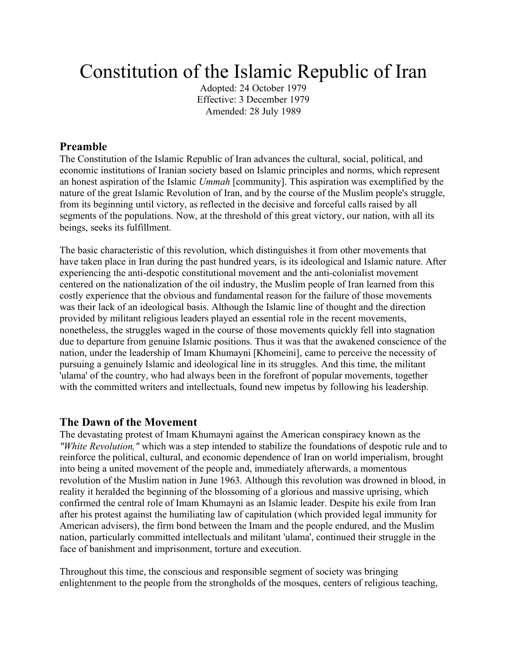# Constitution of the Islamic Republic of Iran

Adopted: 24 October 1979 Effective: 3 December 1979 Amended: 28 July 1989

## **Preamble**

The Constitution of the Islamic Republic of Iran advances the cultural, social, political, and economic institutions of Iranian society based on Islamic principles and norms, which represent an honest aspiration of the Islamic *Ummah* [community]. This aspiration was exemplified by the nature of the great Islamic Revolution of Iran, and by the course of the Muslim people's struggle, from its beginning until victory, as reflected in the decisive and forceful calls raised by all segments of the populations. Now, at the threshold of this great victory, our nation, with all its beings, seeks its fulfillment.

The basic characteristic of this revolution, which distinguishes it from other movements that have taken place in Iran during the past hundred years, is its ideological and Islamic nature. After experiencing the anti-despotic constitutional movement and the anti-colonialist movement centered on the nationalization of the oil industry, the Muslim people of Iran learned from this costly experience that the obvious and fundamental reason for the failure of those movements was their lack of an ideological basis. Although the Islamic line of thought and the direction provided by militant religious leaders played an essential role in the recent movements, nonetheless, the struggles waged in the course of those movements quickly fell into stagnation due to departure from genuine Islamic positions. Thus it was that the awakened conscience of the nation, under the leadership of Imam Khumayni [Khomeini], came to perceive the necessity of pursuing a genuinely Islamic and ideological line in its struggles. And this time, the militant 'ulama' of the country, who had always been in the forefront of popular movements, together with the committed writers and intellectuals, found new impetus by following his leadership.

## **The Dawn of the Movement**

The devastating protest of Imam Khumayni against the American conspiracy known as the *"White Revolution,"* which was a step intended to stabilize the foundations of despotic rule and to reinforce the political, cultural, and economic dependence of Iran on world imperialism, brought into being a united movement of the people and, immediately afterwards, a momentous revolution of the Muslim nation in June 1963. Although this revolution was drowned in blood, in reality it heralded the beginning of the blossoming of a glorious and massive uprising, which confirmed the central role of Imam Khumayni as an Islamic leader. Despite his exile from Iran after his protest against the humiliating law of capitulation (which provided legal immunity for American advisers), the firm bond between the Imam and the people endured, and the Muslim nation, particularly committed intellectuals and militant 'ulama', continued their struggle in the face of banishment and imprisonment, torture and execution.

Throughout this time, the conscious and responsible segment of society was bringing enlightenment to the people from the strongholds of the mosques, centers of religious teaching,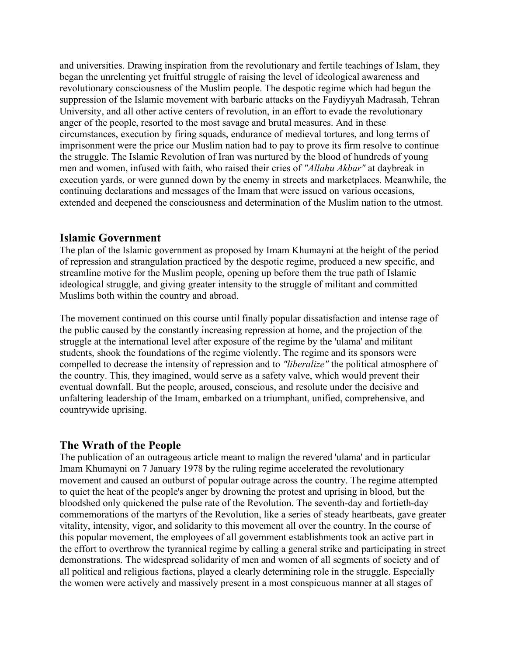and universities. Drawing inspiration from the revolutionary and fertile teachings of Islam, they began the unrelenting yet fruitful struggle of raising the level of ideological awareness and revolutionary consciousness of the Muslim people. The despotic regime which had begun the suppression of the Islamic movement with barbaric attacks on the Faydiyyah Madrasah, Tehran University, and all other active centers of revolution, in an effort to evade the revolutionary anger of the people, resorted to the most savage and brutal measures. And in these circumstances, execution by firing squads, endurance of medieval tortures, and long terms of imprisonment were the price our Muslim nation had to pay to prove its firm resolve to continue the struggle. The Islamic Revolution of Iran was nurtured by the blood of hundreds of young men and women, infused with faith, who raised their cries of *"Allahu Akbar"* at daybreak in execution yards, or were gunned down by the enemy in streets and marketplaces. Meanwhile, the continuing declarations and messages of the Imam that were issued on various occasions, extended and deepened the consciousness and determination of the Muslim nation to the utmost.

## **Islamic Government**

The plan of the Islamic government as proposed by Imam Khumayni at the height of the period of repression and strangulation practiced by the despotic regime, produced a new specific, and streamline motive for the Muslim people, opening up before them the true path of Islamic ideological struggle, and giving greater intensity to the struggle of militant and committed Muslims both within the country and abroad.

The movement continued on this course until finally popular dissatisfaction and intense rage of the public caused by the constantly increasing repression at home, and the projection of the struggle at the international level after exposure of the regime by the 'ulama' and militant students, shook the foundations of the regime violently. The regime and its sponsors were compelled to decrease the intensity of repression and to *"liberalize"* the political atmosphere of the country. This, they imagined, would serve as a safety valve, which would prevent their eventual downfall. But the people, aroused, conscious, and resolute under the decisive and unfaltering leadership of the Imam, embarked on a triumphant, unified, comprehensive, and countrywide uprising.

## **The Wrath of the People**

The publication of an outrageous article meant to malign the revered 'ulama' and in particular Imam Khumayni on 7 January 1978 by the ruling regime accelerated the revolutionary movement and caused an outburst of popular outrage across the country. The regime attempted to quiet the heat of the people's anger by drowning the protest and uprising in blood, but the bloodshed only quickened the pulse rate of the Revolution. The seventh-day and fortieth-day commemorations of the martyrs of the Revolution, like a series of steady heartbeats, gave greater vitality, intensity, vigor, and solidarity to this movement all over the country. In the course of this popular movement, the employees of all government establishments took an active part in the effort to overthrow the tyrannical regime by calling a general strike and participating in street demonstrations. The widespread solidarity of men and women of all segments of society and of all political and religious factions, played a clearly determining role in the struggle. Especially the women were actively and massively present in a most conspicuous manner at all stages of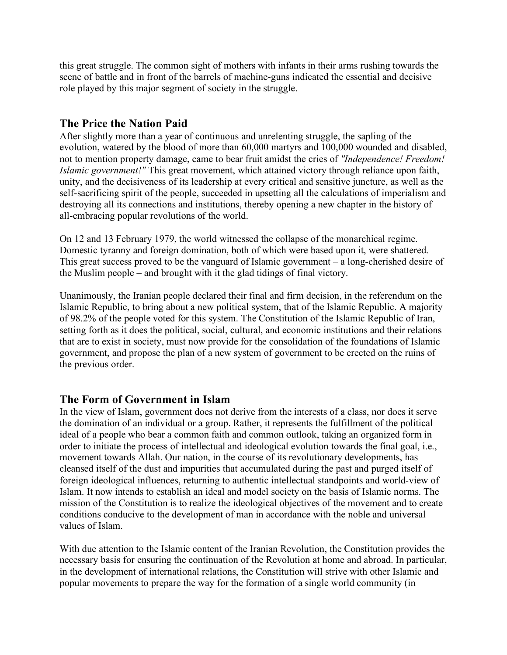this great struggle. The common sight of mothers with infants in their arms rushing towards the scene of battle and in front of the barrels of machine-guns indicated the essential and decisive role played by this major segment of society in the struggle.

# **The Price the Nation Paid**

After slightly more than a year of continuous and unrelenting struggle, the sapling of the evolution, watered by the blood of more than 60,000 martyrs and 100,000 wounded and disabled, not to mention property damage, came to bear fruit amidst the cries of *"Independence! Freedom! Islamic government!"* This great movement, which attained victory through reliance upon faith, unity, and the decisiveness of its leadership at every critical and sensitive juncture, as well as the self-sacrificing spirit of the people, succeeded in upsetting all the calculations of imperialism and destroying all its connections and institutions, thereby opening a new chapter in the history of all-embracing popular revolutions of the world.

On 12 and 13 February 1979, the world witnessed the collapse of the monarchical regime. Domestic tyranny and foreign domination, both of which were based upon it, were shattered. This great success proved to be the vanguard of Islamic government – a long-cherished desire of the Muslim people – and brought with it the glad tidings of final victory.

Unanimously, the Iranian people declared their final and firm decision, in the referendum on the Islamic Republic, to bring about a new political system, that of the Islamic Republic. A majority of 98.2% of the people voted for this system. The Constitution of the Islamic Republic of Iran, setting forth as it does the political, social, cultural, and economic institutions and their relations that are to exist in society, must now provide for the consolidation of the foundations of Islamic government, and propose the plan of a new system of government to be erected on the ruins of the previous order.

# **The Form of Government in Islam**

In the view of Islam, government does not derive from the interests of a class, nor does it serve the domination of an individual or a group. Rather, it represents the fulfillment of the political ideal of a people who bear a common faith and common outlook, taking an organized form in order to initiate the process of intellectual and ideological evolution towards the final goal, i.e., movement towards Allah. Our nation, in the course of its revolutionary developments, has cleansed itself of the dust and impurities that accumulated during the past and purged itself of foreign ideological influences, returning to authentic intellectual standpoints and world-view of Islam. It now intends to establish an ideal and model society on the basis of Islamic norms. The mission of the Constitution is to realize the ideological objectives of the movement and to create conditions conducive to the development of man in accordance with the noble and universal values of Islam.

With due attention to the Islamic content of the Iranian Revolution, the Constitution provides the necessary basis for ensuring the continuation of the Revolution at home and abroad. In particular, in the development of international relations, the Constitution will strive with other Islamic and popular movements to prepare the way for the formation of a single world community (in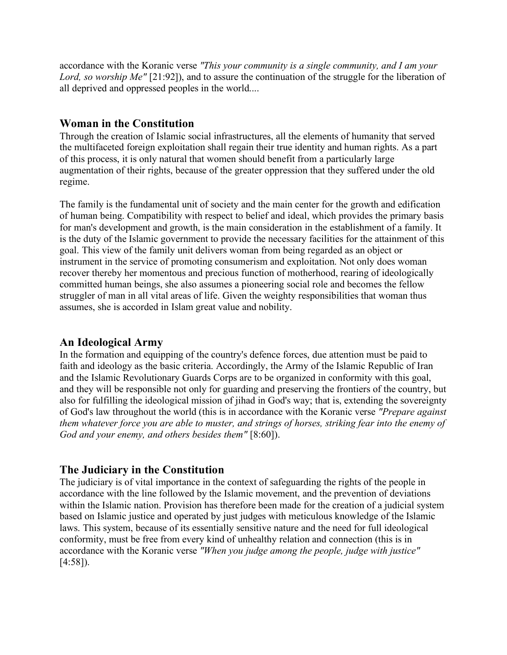accordance with the Koranic verse *"This your community is a single community, and I am your Lord, so worship Me"* [21:92]), and to assure the continuation of the struggle for the liberation of all deprived and oppressed peoples in the world....

# **Woman in the Constitution**

Through the creation of Islamic social infrastructures, all the elements of humanity that served the multifaceted foreign exploitation shall regain their true identity and human rights. As a part of this process, it is only natural that women should benefit from a particularly large augmentation of their rights, because of the greater oppression that they suffered under the old regime.

The family is the fundamental unit of society and the main center for the growth and edification of human being. Compatibility with respect to belief and ideal, which provides the primary basis for man's development and growth, is the main consideration in the establishment of a family. It is the duty of the Islamic government to provide the necessary facilities for the attainment of this goal. This view of the family unit delivers woman from being regarded as an object or instrument in the service of promoting consumerism and exploitation. Not only does woman recover thereby her momentous and precious function of motherhood, rearing of ideologically committed human beings, she also assumes a pioneering social role and becomes the fellow struggler of man in all vital areas of life. Given the weighty responsibilities that woman thus assumes, she is accorded in Islam great value and nobility.

# **An Ideological Army**

In the formation and equipping of the country's defence forces, due attention must be paid to faith and ideology as the basic criteria. Accordingly, the Army of the Islamic Republic of Iran and the Islamic Revolutionary Guards Corps are to be organized in conformity with this goal, and they will be responsible not only for guarding and preserving the frontiers of the country, but also for fulfilling the ideological mission of jihad in God's way; that is, extending the sovereignty of God's law throughout the world (this is in accordance with the Koranic verse *"Prepare against them whatever force you are able to muster, and strings of horses, striking fear into the enemy of God and your enemy, and others besides them"* [8:60]).

# **The Judiciary in the Constitution**

The judiciary is of vital importance in the context of safeguarding the rights of the people in accordance with the line followed by the Islamic movement, and the prevention of deviations within the Islamic nation. Provision has therefore been made for the creation of a judicial system based on Islamic justice and operated by just judges with meticulous knowledge of the Islamic laws. This system, because of its essentially sensitive nature and the need for full ideological conformity, must be free from every kind of unhealthy relation and connection (this is in accordance with the Koranic verse *"When you judge among the people, judge with justice"* [4:58]).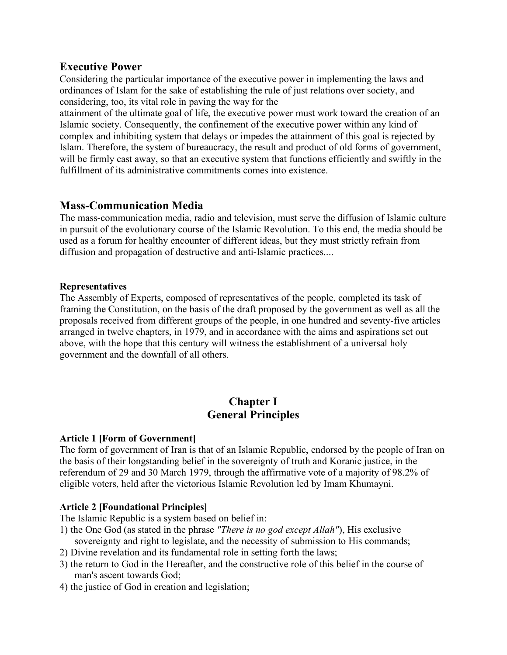## **Executive Power**

Considering the particular importance of the executive power in implementing the laws and ordinances of Islam for the sake of establishing the rule of just relations over society, and considering, too, its vital role in paving the way for the

attainment of the ultimate goal of life, the executive power must work toward the creation of an Islamic society. Consequently, the confinement of the executive power within any kind of complex and inhibiting system that delays or impedes the attainment of this goal is rejected by Islam. Therefore, the system of bureaucracy, the result and product of old forms of government, will be firmly cast away, so that an executive system that functions efficiently and swiftly in the fulfillment of its administrative commitments comes into existence.

## **Mass-Communication Media**

The mass-communication media, radio and television, must serve the diffusion of Islamic culture in pursuit of the evolutionary course of the Islamic Revolution. To this end, the media should be used as a forum for healthy encounter of different ideas, but they must strictly refrain from diffusion and propagation of destructive and anti-Islamic practices....

#### **Representatives**

The Assembly of Experts, composed of representatives of the people, completed its task of framing the Constitution, on the basis of the draft proposed by the government as well as all the proposals received from different groups of the people, in one hundred and seventy-five articles arranged in twelve chapters, in 1979, and in accordance with the aims and aspirations set out above, with the hope that this century will witness the establishment of a universal holy government and the downfall of all others.

# **Chapter I General Principles**

#### **Article 1 [Form of Government]**

The form of government of Iran is that of an Islamic Republic, endorsed by the people of Iran on the basis of their longstanding belief in the sovereignty of truth and Koranic justice, in the referendum of 29 and 30 March 1979, through the affirmative vote of a majority of 98.2% of eligible voters, held after the victorious Islamic Revolution led by Imam Khumayni.

#### **Article 2 [Foundational Principles]**

The Islamic Republic is a system based on belief in:

- 1) the One God (as stated in the phrase *"There is no god except Allah"*), His exclusive
	- sovereignty and right to legislate, and the necessity of submission to His commands;
- 2) Divine revelation and its fundamental role in setting forth the laws;
- 3) the return to God in the Hereafter, and the constructive role of this belief in the course of man's ascent towards God;
- 4) the justice of God in creation and legislation;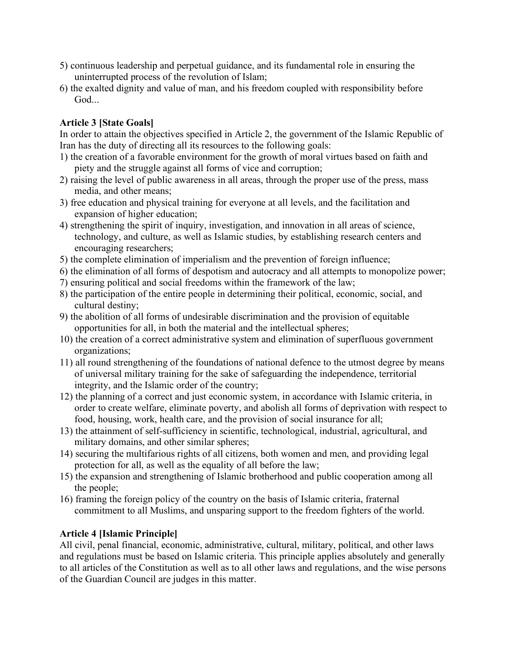- 5) continuous leadership and perpetual guidance, and its fundamental role in ensuring the uninterrupted process of the revolution of Islam;
- 6) the exalted dignity and value of man, and his freedom coupled with responsibility before God...

## **Article 3 [State Goals]**

In order to attain the objectives specified in Article 2, the government of the Islamic Republic of Iran has the duty of directing all its resources to the following goals:

- 1) the creation of a favorable environment for the growth of moral virtues based on faith and piety and the struggle against all forms of vice and corruption;
- 2) raising the level of public awareness in all areas, through the proper use of the press, mass media, and other means;
- 3) free education and physical training for everyone at all levels, and the facilitation and expansion of higher education;
- 4) strengthening the spirit of inquiry, investigation, and innovation in all areas of science, technology, and culture, as well as Islamic studies, by establishing research centers and encouraging researchers;
- 5) the complete elimination of imperialism and the prevention of foreign influence;
- 6) the elimination of all forms of despotism and autocracy and all attempts to monopolize power;
- 7) ensuring political and social freedoms within the framework of the law;
- 8) the participation of the entire people in determining their political, economic, social, and cultural destiny;
- 9) the abolition of all forms of undesirable discrimination and the provision of equitable opportunities for all, in both the material and the intellectual spheres;
- 10) the creation of a correct administrative system and elimination of superfluous government organizations;
- 11) all round strengthening of the foundations of national defence to the utmost degree by means of universal military training for the sake of safeguarding the independence, territorial integrity, and the Islamic order of the country;
- 12) the planning of a correct and just economic system, in accordance with Islamic criteria, in order to create welfare, eliminate poverty, and abolish all forms of deprivation with respect to food, housing, work, health care, and the provision of social insurance for all;
- 13) the attainment of self-sufficiency in scientific, technological, industrial, agricultural, and military domains, and other similar spheres;
- 14) securing the multifarious rights of all citizens, both women and men, and providing legal protection for all, as well as the equality of all before the law;
- 15) the expansion and strengthening of Islamic brotherhood and public cooperation among all the people;
- 16) framing the foreign policy of the country on the basis of Islamic criteria, fraternal commitment to all Muslims, and unsparing support to the freedom fighters of the world.

## **Article 4 [Islamic Principle]**

All civil, penal financial, economic, administrative, cultural, military, political, and other laws and regulations must be based on Islamic criteria. This principle applies absolutely and generally to all articles of the Constitution as well as to all other laws and regulations, and the wise persons of the Guardian Council are judges in this matter.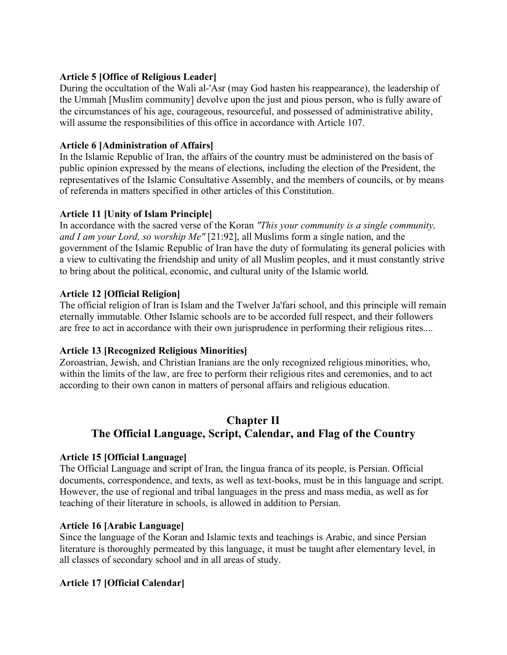#### **Article 5 [Office of Religious Leader]**

During the occultation of the Wali al-'Asr (may God hasten his reappearance), the leadership of the Ummah [Muslim community] devolve upon the just and pious person, who is fully aware of the circumstances of his age, courageous, resourceful, and possessed of administrative ability, will assume the responsibilities of this office in accordance with Article 107.

#### **Article 6 [Administration of Affairs]**

In the Islamic Republic of Iran, the affairs of the country must be administered on the basis of public opinion expressed by the means of elections, including the election of the President, the representatives of the Islamic Consultative Assembly, and the members of councils, or by means of referenda in matters specified in other articles of this Constitution.

## **Article 11 [Unity of Islam Principle]**

In accordance with the sacred verse of the Koran *"This your community is a single community, and I am your Lord, so worship Me"* [21:92], all Muslims form a single nation, and the government of the Islamic Republic of Iran have the duty of formulating its general policies with a view to cultivating the friendship and unity of all Muslim peoples, and it must constantly strive to bring about the political, economic, and cultural unity of the Islamic world.

## **Article 12 [Official Religion]**

The official religion of Iran is Islam and the Twelver Ja'fari school, and this principle will remain eternally immutable. Other Islamic schools are to be accorded full respect, and their followers are free to act in accordance with their own jurisprudence in performing their religious rites....

#### **Article 13 [Recognized Religious Minorities]**

Zoroastrian, Jewish, and Christian Iranians are the only recognized religious minorities, who, within the limits of the law, are free to perform their religious rites and ceremonies, and to act according to their own canon in matters of personal affairs and religious education.

# **Chapter II The Official Language, Script, Calendar, and Flag of the Country**

#### **Article 15 [Official Language]**

The Official Language and script of Iran, the lingua franca of its people, is Persian. Official documents, correspondence, and texts, as well as text-books, must be in this language and script. However, the use of regional and tribal languages in the press and mass media, as well as for teaching of their literature in schools, is allowed in addition to Persian.

#### **Article 16 [Arabic Language]**

Since the language of the Koran and Islamic texts and teachings is Arabic, and since Persian literature is thoroughly permeated by this language, it must be taught after elementary level, in all classes of secondary school and in all areas of study.

## **Article 17 [Official Calendar]**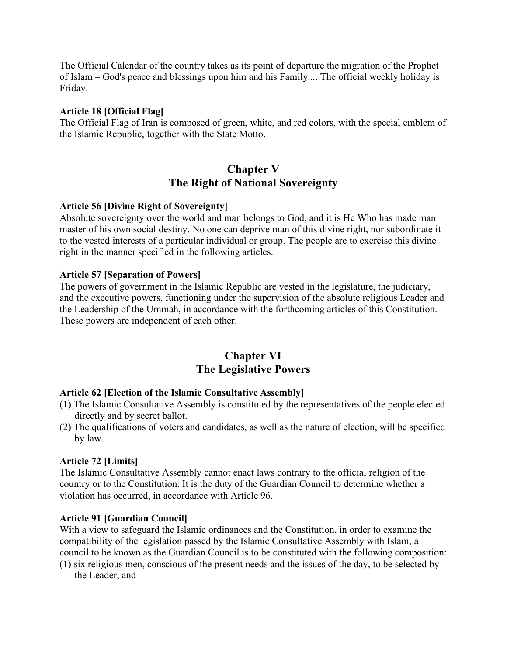The Official Calendar of the country takes as its point of departure the migration of the Prophet of Islam – God's peace and blessings upon him and his Family.... The official weekly holiday is Friday.

#### **Article 18 [Official Flag]**

The Official Flag of Iran is composed of green, white, and red colors, with the special emblem of the Islamic Republic, together with the State Motto.

# **Chapter V The Right of National Sovereignty**

#### **Article 56 [Divine Right of Sovereignty]**

Absolute sovereignty over the world and man belongs to God, and it is He Who has made man master of his own social destiny. No one can deprive man of this divine right, nor subordinate it to the vested interests of a particular individual or group. The people are to exercise this divine right in the manner specified in the following articles.

#### **Article 57 [Separation of Powers]**

The powers of government in the Islamic Republic are vested in the legislature, the judiciary, and the executive powers, functioning under the supervision of the absolute religious Leader and the Leadership of the Ummah, in accordance with the forthcoming articles of this Constitution. These powers are independent of each other.

# **Chapter VI The Legislative Powers**

#### **Article 62 [Election of the Islamic Consultative Assembly]**

- (1) The Islamic Consultative Assembly is constituted by the representatives of the people elected directly and by secret ballot.
- (2) The qualifications of voters and candidates, as well as the nature of election, will be specified by law.

#### **Article 72 [Limits]**

The Islamic Consultative Assembly cannot enact laws contrary to the official religion of the country or to the Constitution. It is the duty of the Guardian Council to determine whether a violation has occurred, in accordance with Article 96.

#### **Article 91 [Guardian Council]**

With a view to safeguard the Islamic ordinances and the Constitution, in order to examine the compatibility of the legislation passed by the Islamic Consultative Assembly with Islam, a council to be known as the Guardian Council is to be constituted with the following composition:

(1) six religious men, conscious of the present needs and the issues of the day, to be selected by the Leader, and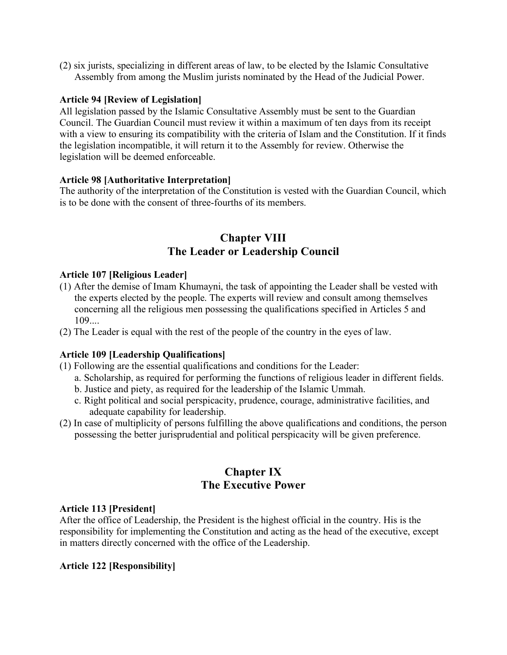(2) six jurists, specializing in different areas of law, to be elected by the Islamic Consultative Assembly from among the Muslim jurists nominated by the Head of the Judicial Power.

#### **Article 94 [Review of Legislation]**

All legislation passed by the Islamic Consultative Assembly must be sent to the Guardian Council. The Guardian Council must review it within a maximum of ten days from its receipt with a view to ensuring its compatibility with the criteria of Islam and the Constitution. If it finds the legislation incompatible, it will return it to the Assembly for review. Otherwise the legislation will be deemed enforceable.

#### **Article 98 [Authoritative Interpretation]**

The authority of the interpretation of the Constitution is vested with the Guardian Council, which is to be done with the consent of three-fourths of its members.

# **Chapter VIII The Leader or Leadership Council**

#### **Article 107 [Religious Leader]**

- (1) After the demise of Imam Khumayni, the task of appointing the Leader shall be vested with the experts elected by the people. The experts will review and consult among themselves concerning all the religious men possessing the qualifications specified in Articles 5 and 109....
- (2) The Leader is equal with the rest of the people of the country in the eyes of law.

#### **Article 109 [Leadership Qualifications]**

- (1) Following are the essential qualifications and conditions for the Leader:
	- a. Scholarship, as required for performing the functions of religious leader in different fields.
	- b. Justice and piety, as required for the leadership of the Islamic Ummah.
	- c. Right political and social perspicacity, prudence, courage, administrative facilities, and adequate capability for leadership.
- (2) In case of multiplicity of persons fulfilling the above qualifications and conditions, the person possessing the better jurisprudential and political perspicacity will be given preference.

# **Chapter IX The Executive Power**

#### **Article 113 [President]**

After the office of Leadership, the President is the highest official in the country. His is the responsibility for implementing the Constitution and acting as the head of the executive, except in matters directly concerned with the office of the Leadership.

#### **Article 122 [Responsibility]**